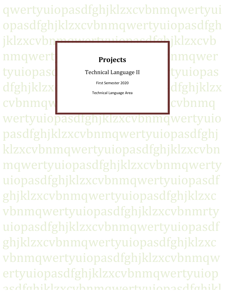qwertyuiopasdfghjklzxcvbnmqwertyui opasdfghjklzxcvbnmqwertyuiopasdfgh jklzxcybnmawertyuiopasdfghjklzxcyb nmqwertwich and the series of the series of the series of the series of the series of the series of the series tyuiopasd Technical Language II tyuiopas dfghjklzx cvbnmqwertyuiopastalling **Projects** Technical Language II First Semester 2020 Technical Language Area

wertyuiopasdfghjklzxcvbnmqwertyuio pasdfghjklzxcvbnmqwertyuiopasdfghj klzxcvbnmqwertyuiopasdfghjklzxcvbn mqwertyuiopasdfghjklzxcvbnmqwerty uiopasdfghjklzxcvbnmqwertyuiopasdf ghjklzxcvbnmqwertyuiopasdfghjklzxc vbnmqwertyuiopasdfghjklzxcvbnmrty uiopasdfghjklzxcvbnmqwertyuiopasdf ghjklzxcvbnmqwertyuiopasdfghjklzxc vbnmqwertyuiopasdfghjklzxcvbnmqw ertyuiopasdfghjklzxcvbnmqwertyuiop acdfahilzlzvcvzhnmawertyuionacdfahilzl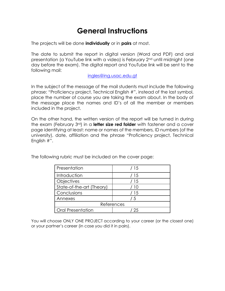# **General Instructions**

The projects will be done **individually** or in **pairs** at most.

The date to submit the report in digital version (Word and PDF) and oral presentation (a YouTube link with a video) is February 2nd until midnight (one day before the exam). The digital report and YouTube link will be sent to the following mail:

[ingles@ing.usac.edu.gt](mailto:ingles@ing.usac.edu.gt)

In the subject of the message of the mail students must include the following phrase: "Proficiency project, Technical English #", instead of the last symbol, place the number of course you are taking the exam about. In the body of the message place the names and ID's of all the member or members included in the project.

On the other hand, the written version of the report will be turned in during the exam (February 3rd) in a **letter size red folder** with fastener and a cover page identifying at least: name or names of the members, ID numbers (of the university), date, affiliation and the phrase "Proficiency project, Technical English #".

The following rubric must be included on the cover page:

| Presentation              | / 15 |
|---------------------------|------|
| Introduction              | / 15 |
| Objectives                | / 15 |
| State-of-the-art (Theory) | ′ 10 |
| Conclusions               | / 15 |
| Annexes                   | -5   |
| References                |      |
| <b>Oral Presentation</b>  | 25   |

You will choose ONLY ONE PROJECT according to your career (or the closest one) or your partner's career (in case you did it in pairs).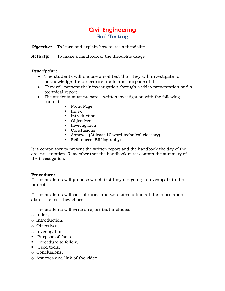# **Civil Engineering Soil Testing**

*Objective:* To learn and explain how to use a theodolite

Activity: To make a handbook of the theodolite usage.

#### *Description:*

- The students will choose a soil test that they will investigate to acknowledge the procedure, tools and purpose of it.
- They will present their investigation through a video presentation and a technical report.
- The students must prepare a written investigation with the following content:
	- Front Page
	- Index
	- Introduction
	- Objectives
	- **·** Investigation
	- Conclusions
	- Annexes (At least 10 word technical glossary)
	- References (Bibliography)

It is compulsory to present the written report and the handbook the day of the oral presentation. Remember that the handbook must contain the summary of the investigation.

#### **Procedure:**

 $\Box$  The students will propose which test they are going to investigate to the project.

 $\Box$  The students will visit libraries and web sites to find all the information about the test they chose.

 $\Box$  The students will write a report that includes:

- o Index,
- o Introduction,
- o Objectives,
- o Investigation
- Purpose of the test,
- Procedure to follow,
- Used tools.
- o Conclusions,
- o Annexes and link of the video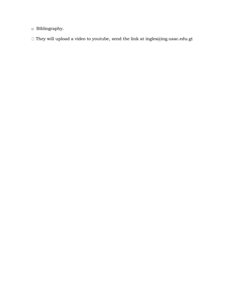o Bibliography.

 $\Box$  <br> They will upload a video to youtube, send the link at ingles<br>@ing.usac.edu.gt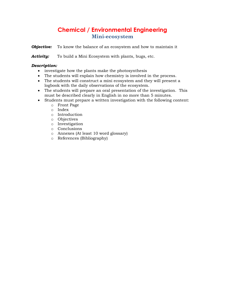# **Chemical / Environmental Engineering Mini-ecosystem**

**Objective:** To know the balance of an ecosystem and how to maintain it

*Activity:* To build a Mini Ecosystem with plants, bugs, etc.

- investigate how the plants make the photosynthesis
- The students will explain how chemistry is involved in the process.
- The students will construct a mini ecosystem and they will present a logbook with the daily observations of the ecosystem.
- The students will prepare an oral presentation of the investigation. This must be described clearly in English in no more than 5 minutes.
- Students must prepare a written investigation with the following content:
	- o Front Page
	- o Index
	- o Introduction
	- o Objectives
	- o Investigation
	- o Conclusions
	- o Annexes (At least 10 word glossary)
	- o References (Bibliography)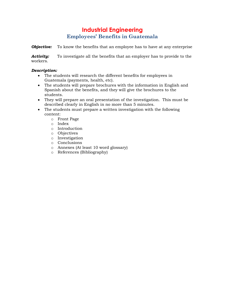### **Industrial Engineering Employees' Benefits in Guatemala**

*Objective:* To know the benefits that an employee has to have at any enterprise

*Activity:* To investigate all the benefits that an employer has to provide to the workers.

- The students will research the different benefits for employees in Guatemala (payments, health, etc).
- The students will prepare brochures with the information in English and Spanish about the benefits, and they will give the brochures to the students.
- They will prepare an oral presentation of the investigation. This must be described clearly in English in no more than 5 minutes.
- The students must prepare a written investigation with the following content:
	- o Front Page
	- o Index
	- o Introduction
	- o Objectives
	- o Investigation
	- o Conclusions
	- o Annexes (At least 10 word glossary)
	- o References (Bibliography)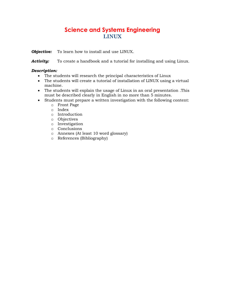# **Science and Systems Engineering LINUX**

*Objective:* To learn how to install and use LINUX.

**Activity:** To create a handbook and a tutorial for installing and using Linux.

- The students will research the principal characteristics of Linux
- The students will create a tutorial of installation of LINUX using a virtual machine.
- The students will explain the usage of Linux in an oral presentation .This must be described clearly in English in no more than 5 minutes.
- Students must prepare a written investigation with the following content:
	- o Front Page
	- o Index
	- o Introduction
	- o Objectives
	- o Investigation
	- o Conclusions
	- o Annexes (At least 10 word glossary)
	- o References (Bibliography)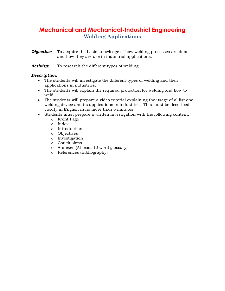# **Mechanical and Mechanical-Industrial Engineering Welding Applications**

- *Objective:* To acquire the basic knowledge of how welding processes are done and how they are use in industrial applications.
- **Activity:** To research the different types of welding

- The students will investigate the different types of welding and their applications in industries.
- The students will explain the required protection for welding and how to weld.
- The students will prepare a video tutorial explaining the usage of al list one welding device and its applications in industries. This must be described clearly in English in no more than 5 minutes.
- Students must prepare a written investigation with the following content:
	- o Front Page
	- o Index
	- o Introduction
	- o Objectives
	- o Investigation
	- o Conclusions
	- o Annexes (At least 10 word glossary)
	- o References (Bibliography)